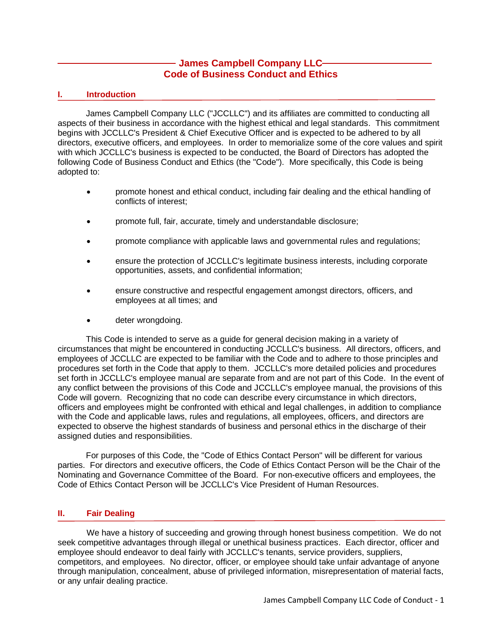# **James Campbell Company LLC Code of Business Conduct and Ethics**

# **I. Introduction**

James Campbell Company LLC ("JCCLLC") and its affiliates are committed to conducting all aspects of their business in accordance with the highest ethical and legal standards. This commitment begins with JCCLLC's President & Chief Executive Officer and is expected to be adhered to by all directors, executive officers, and employees. In order to memorialize some of the core values and spirit with which JCCLLC's business is expected to be conducted, the Board of Directors has adopted the following Code of Business Conduct and Ethics (the "Code"). More specifically, this Code is being adopted to:

- promote honest and ethical conduct, including fair dealing and the ethical handling of conflicts of interest;
- promote full, fair, accurate, timely and understandable disclosure;
- promote compliance with applicable laws and governmental rules and regulations;
- ensure the protection of JCCLLC's legitimate business interests, including corporate opportunities, assets, and confidential information;
- ensure constructive and respectful engagement amongst directors, officers, and employees at all times; and
- deter wrongdoing.

This Code is intended to serve as a guide for general decision making in a variety of circumstances that might be encountered in conducting JCCLLC's business. All directors, officers, and employees of JCCLLC are expected to be familiar with the Code and to adhere to those principles and procedures set forth in the Code that apply to them. JCCLLC's more detailed policies and procedures set forth in JCCLLC's employee manual are separate from and are not part of this Code. In the event of any conflict between the provisions of this Code and JCCLLC's employee manual, the provisions of this Code will govern. Recognizing that no code can describe every circumstance in which directors, officers and employees might be confronted with ethical and legal challenges, in addition to compliance with the Code and applicable laws, rules and regulations, all employees, officers, and directors are expected to observe the highest standards of business and personal ethics in the discharge of their assigned duties and responsibilities.

For purposes of this Code, the "Code of Ethics Contact Person" will be different for various parties. For directors and executive officers, the Code of Ethics Contact Person will be the Chair of the Nominating and Governance Committee of the Board. For non-executive officers and employees, the Code of Ethics Contact Person will be JCCLLC's Vice President of Human Resources.

## **II. Fair Dealing**

We have a history of succeeding and growing through honest business competition. We do not seek competitive advantages through illegal or unethical business practices. Each director, officer and employee should endeavor to deal fairly with JCCLLC's tenants, service providers, suppliers, competitors, and employees. No director, officer, or employee should take unfair advantage of anyone through manipulation, concealment, abuse of privileged information, misrepresentation of material facts, or any unfair dealing practice.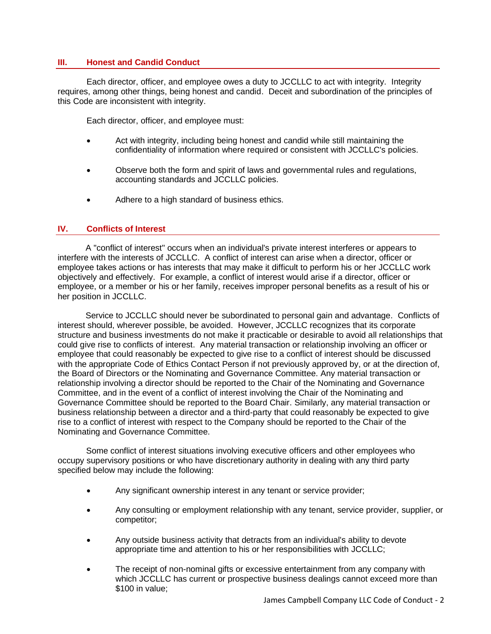### **III. Honest and Candid Conduct**

Each director, officer, and employee owes a duty to JCCLLC to act with integrity. Integrity requires, among other things, being honest and candid. Deceit and subordination of the principles of this Code are inconsistent with integrity.

Each director, officer, and employee must:

- Act with integrity, including being honest and candid while still maintaining the confidentiality of information where required or consistent with JCCLLC's policies.
- Observe both the form and spirit of laws and governmental rules and regulations, accounting standards and JCCLLC policies.
- Adhere to a high standard of business ethics.

#### **IV. Conflicts of Interest**

A "conflict of interest" occurs when an individual's private interest interferes or appears to interfere with the interests of JCCLLC. A conflict of interest can arise when a director, officer or employee takes actions or has interests that may make it difficult to perform his or her JCCLLC work objectively and effectively. For example, a conflict of interest would arise if a director, officer or employee, or a member or his or her family, receives improper personal benefits as a result of his or her position in JCCLLC.

Service to JCCLLC should never be subordinated to personal gain and advantage. Conflicts of interest should, wherever possible, be avoided. However, JCCLLC recognizes that its corporate structure and business investments do not make it practicable or desirable to avoid all relationships that could give rise to conflicts of interest. Any material transaction or relationship involving an officer or employee that could reasonably be expected to give rise to a conflict of interest should be discussed with the appropriate Code of Ethics Contact Person if not previously approved by, or at the direction of, the Board of Directors or the Nominating and Governance Committee. Any material transaction or relationship involving a director should be reported to the Chair of the Nominating and Governance Committee, and in the event of a conflict of interest involving the Chair of the Nominating and Governance Committee should be reported to the Board Chair. Similarly, any material transaction or business relationship between a director and a third-party that could reasonably be expected to give rise to a conflict of interest with respect to the Company should be reported to the Chair of the Nominating and Governance Committee.

Some conflict of interest situations involving executive officers and other employees who occupy supervisory positions or who have discretionary authority in dealing with any third party specified below may include the following:

- Any significant ownership interest in any tenant or service provider;
- Any consulting or employment relationship with any tenant, service provider, supplier, or competitor;
- Any outside business activity that detracts from an individual's ability to devote appropriate time and attention to his or her responsibilities with JCCLLC;
- The receipt of non-nominal gifts or excessive entertainment from any company with which JCCLLC has current or prospective business dealings cannot exceed more than \$100 in value;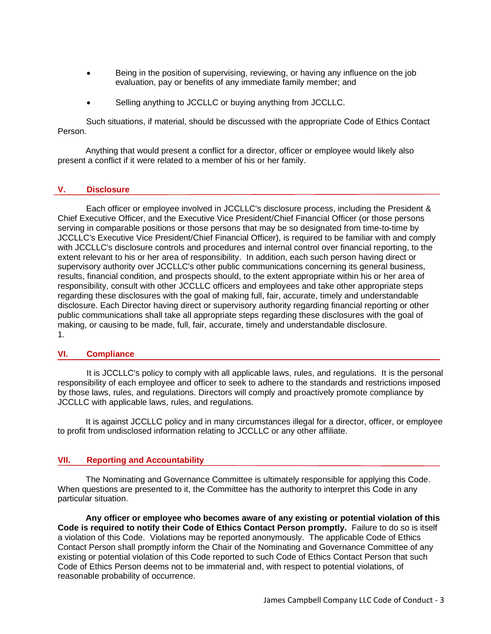- Being in the position of supervising, reviewing, or having any influence on the job evaluation, pay or benefits of any immediate family member; and
- Selling anything to JCCLLC or buying anything from JCCLLC.

Such situations, if material, should be discussed with the appropriate Code of Ethics Contact Person.

Anything that would present a conflict for a director, officer or employee would likely also present a conflict if it were related to a member of his or her family.

#### **V. Disclosure**

Each officer or employee involved in JCCLLC's disclosure process, including the President & Chief Executive Officer, and the Executive Vice President/Chief Financial Officer (or those persons serving in comparable positions or those persons that may be so designated from time-to-time by JCCLLC's Executive Vice President/Chief Financial Officer), is required to be familiar with and comply with JCCLLC's disclosure controls and procedures and internal control over financial reporting, to the extent relevant to his or her area of responsibility. In addition, each such person having direct or supervisory authority over JCCLLC's other public communications concerning its general business, results, financial condition, and prospects should, to the extent appropriate within his or her area of responsibility, consult with other JCCLLC officers and employees and take other appropriate steps regarding these disclosures with the goal of making full, fair, accurate, timely and understandable disclosure. Each Director having direct or supervisory authority regarding financial reporting or other public communications shall take all appropriate steps regarding these disclosures with the goal of making, or causing to be made, full, fair, accurate, timely and understandable disclosure. 1.

#### **VI. Compliance**

It is JCCLLC's policy to comply with all applicable laws, rules, and regulations. It is the personal responsibility of each employee and officer to seek to adhere to the standards and restrictions imposed by those laws, rules, and regulations. Directors will comply and proactively promote compliance by JCCLLC with applicable laws, rules, and regulations.

It is against JCCLLC policy and in many circumstances illegal for a director, officer, or employee to profit from undisclosed information relating to JCCLLC or any other affiliate.

## **VII. Reporting and Accountability**

The Nominating and Governance Committee is ultimately responsible for applying this Code. When questions are presented to it, the Committee has the authority to interpret this Code in any particular situation.

**Any officer or employee who becomes aware of any existing or potential violation of this Code is required to notify their Code of Ethics Contact Person promptly.** Failure to do so is itself a violation of this Code. Violations may be reported anonymously. The applicable Code of Ethics Contact Person shall promptly inform the Chair of the Nominating and Governance Committee of any existing or potential violation of this Code reported to such Code of Ethics Contact Person that such Code of Ethics Person deems not to be immaterial and, with respect to potential violations, of reasonable probability of occurrence.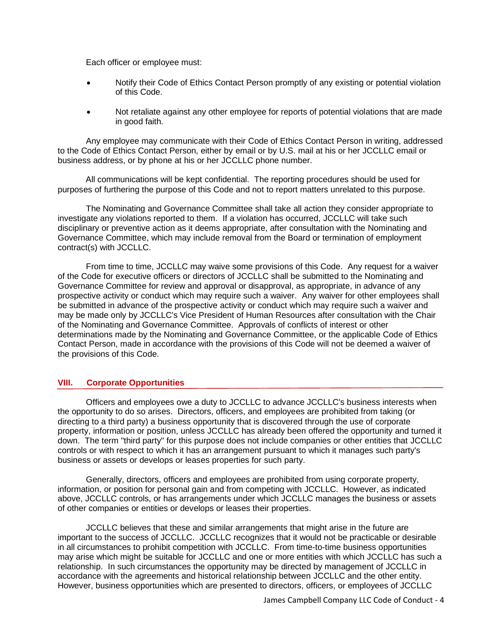Each officer or employee must:

- Notify their Code of Ethics Contact Person promptly of any existing or potential violation of this Code.
- Not retaliate against any other employee for reports of potential violations that are made in good faith.

Any employee may communicate with their Code of Ethics Contact Person in writing, addressed to the Code of Ethics Contact Person, either by email or by U.S. mail at his or her JCCLLC email or business address, or by phone at his or her JCCLLC phone number.

All communications will be kept confidential. The reporting procedures should be used for purposes of furthering the purpose of this Code and not to report matters unrelated to this purpose.

The Nominating and Governance Committee shall take all action they consider appropriate to investigate any violations reported to them. If a violation has occurred, JCCLLC will take such disciplinary or preventive action as it deems appropriate, after consultation with the Nominating and Governance Committee, which may include removal from the Board or termination of employment contract(s) with JCCLLC.

From time to time, JCCLLC may waive some provisions of this Code. Any request for a waiver of the Code for executive officers or directors of JCCLLC shall be submitted to the Nominating and Governance Committee for review and approval or disapproval, as appropriate, in advance of any prospective activity or conduct which may require such a waiver. Any waiver for other employees shall be submitted in advance of the prospective activity or conduct which may require such a waiver and may be made only by JCCLLC's Vice President of Human Resources after consultation with the Chair of the Nominating and Governance Committee. Approvals of conflicts of interest or other determinations made by the Nominating and Governance Committee, or the applicable Code of Ethics Contact Person, made in accordance with the provisions of this Code will not be deemed a waiver of the provisions of this Code.

# **VIII. Corporate Opportunities**

Officers and employees owe a duty to JCCLLC to advance JCCLLC's business interests when the opportunity to do so arises. Directors, officers, and employees are prohibited from taking (or directing to a third party) a business opportunity that is discovered through the use of corporate property, information or position, unless JCCLLC has already been offered the opportunity and turned it down. The term "third party" for this purpose does not include companies or other entities that JCCLLC controls or with respect to which it has an arrangement pursuant to which it manages such party's business or assets or develops or leases properties for such party.

Generally, directors, officers and employees are prohibited from using corporate property, information, or position for personal gain and from competing with JCCLLC. However, as indicated above, JCCLLC controls, or has arrangements under which JCCLLC manages the business or assets of other companies or entities or develops or leases their properties.

JCCLLC believes that these and similar arrangements that might arise in the future are important to the success of JCCLLC. JCCLLC recognizes that it would not be practicable or desirable in all circumstances to prohibit competition with JCCLLC. From time-to-time business opportunities may arise which might be suitable for JCCLLC and one or more entities with which JCCLLC has such a relationship. In such circumstances the opportunity may be directed by management of JCCLLC in accordance with the agreements and historical relationship between JCCLLC and the other entity. However, business opportunities which are presented to directors, officers, or employees of JCCLLC